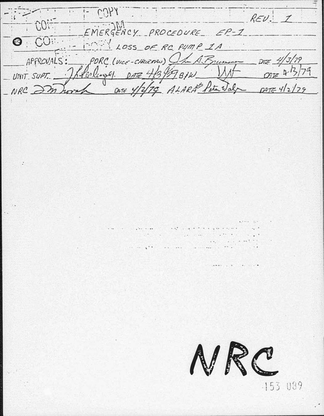$\therefore$   $\vdash$   $CDAA$  $REU: I$  $C0!$ EMERGENCY PROCEDURE EP-1 EMERGENCY PROCEDURE E<br>APPROVALS: PORC (VICE-CHILEMAN) (17 PORC (VICE-CHURAN) Oh A Brunne DE 4/3/79 \_UNIT SUPT. \_ ] Rolengel. DATE 4/3/97BIN ONE Y/2/79 ALARA Peter Jal  $_{NRC}$  $\geq$ m  $DATE 412179$ bort



-153 089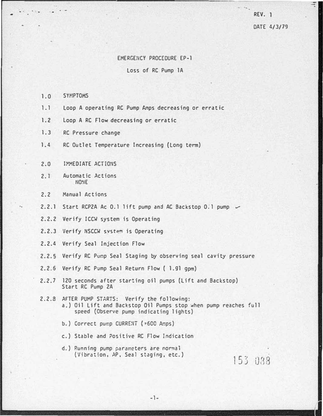REV. 1

*<u>Participal</u>* 

DATE 4/3/79

## EMERGENCY PROCEDURE EP-1

## Loss of RC Pump lA

- 1 0 SYMPTOMS
- 1.1 Loop A operating RC Pump Amps decreasing or erratic
- 1.2 Loop A RC Flow decreasing or erratic
- 1.3 RC Pressure change
- 1.4 RC Outlet Temperature Increasing (Long term)
- 2.0 **IMMEDIATE ACTIONS**
- 2.1 Automatic Actions UO�IE
- 2.2 Manual Actions
- 2.2.1 Start RCP2A Ac 0.1 lift pump and AC Backstop 0.1 pump  $\sim$
- 2.2.2 Verify ICCW system is Operating
- 2.2.3 Verify NSCCW system is Operating
- 2.2.4 Verify Seal Injection Flow
- 2.2.5 Verify RC Pump Seal Staging by observing seal cavity pressure
- 2.2.6 Verify RC Pump Seal Return Flow ( 1.g1 gpm)
- 2.2.7 120 seconds after star�ing oil pumps (Lift and Backstop) Start RC Pump 2A
- 2.2.8 AFTER PUMP STARTS: Verify the following: a.) Oil Lift and Backstop Oil Pumps stop when pump reaches full speed (Observe pump indicating lights)
	- b.) Correct pump CURRENT (=600 Amps)
	- c.) Stable and ?ositive RC Flow Indication
	- d.) Running pump parameters are normal (Vibration, AP, Seal staging, etc.)

153 088